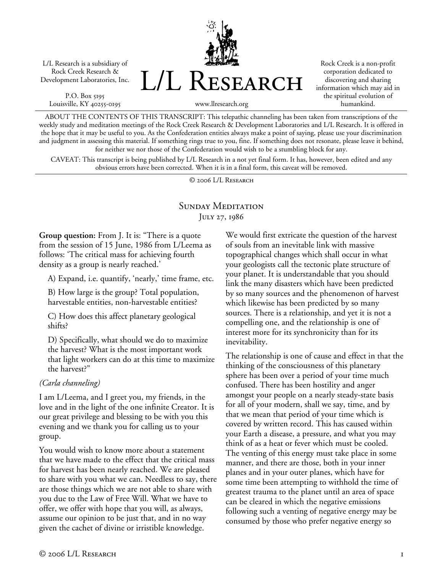L/L Research is a subsidiary of Rock Creek Research & Development Laboratories, Inc.

P.O. Box 5195 Louisville, KY 40255-0195 L/L Research

Rock Creek is a non-profit corporation dedicated to discovering and sharing information which may aid in the spiritual evolution of humankind.

www.llresearch.org

ABOUT THE CONTENTS OF THIS TRANSCRIPT: This telepathic channeling has been taken from transcriptions of the weekly study and meditation meetings of the Rock Creek Research & Development Laboratories and L/L Research. It is offered in the hope that it may be useful to you. As the Confederation entities always make a point of saying, please use your discrimination and judgment in assessing this material. If something rings true to you, fine. If something does not resonate, please leave it behind, for neither we nor those of the Confederation would wish to be a stumbling block for any.

CAVEAT: This transcript is being published by L/L Research in a not yet final form. It has, however, been edited and any obvious errors have been corrected. When it is in a final form, this caveat will be removed.

© 2006 L/L Research

## SUNDAY MEDITATION July 27, 1986

**Group question:** From J. It is: "There is a quote from the session of 15 June, 1986 from L/Leema as follows: 'The critical mass for achieving fourth density as a group is nearly reached.'

A) Expand, i.e. quantify, 'nearly,' time frame, etc.

B) How large is the group? Total population, harvestable entities, non-harvestable entities?

C) How does this affect planetary geological shifts?

D) Specifically, what should we do to maximize the harvest? What is the most important work that light workers can do at this time to maximize the harvest?"

## *(Carla channeling)*

I am L/Leema, and I greet you, my friends, in the love and in the light of the one infinite Creator. It is our great privilege and blessing to be with you this evening and we thank you for calling us to your group.

You would wish to know more about a statement that we have made to the effect that the critical mass for harvest has been nearly reached. We are pleased to share with you what we can. Needless to say, there are those things which we are not able to share with you due to the Law of Free Will. What we have to offer, we offer with hope that you will, as always, assume our opinion to be just that, and in no way given the cachet of divine or irristible knowledge.

We would first extricate the question of the harvest of souls from an inevitable link with massive topographical changes which shall occur in what your geologists call the tectonic plate structure of your planet. It is understandable that you should link the many disasters which have been predicted by so many sources and the phenomenon of harvest which likewise has been predicted by so many sources. There is a relationship, and yet it is not a compelling one, and the relationship is one of interest more for its synchronicity than for its inevitability.

The relationship is one of cause and effect in that the thinking of the consciousness of this planetary sphere has been over a period of your time much confused. There has been hostility and anger amongst your people on a nearly steady-state basis for all of your modern, shall we say, time, and by that we mean that period of your time which is covered by written record. This has caused within your Earth a disease, a pressure, and what you may think of as a heat or fever which must be cooled. The venting of this energy must take place in some manner, and there are those, both in your inner planes and in your outer planes, which have for some time been attempting to withhold the time of greatest trauma to the planet until an area of space can be cleared in which the negative emissions following such a venting of negative energy may be consumed by those who prefer negative energy so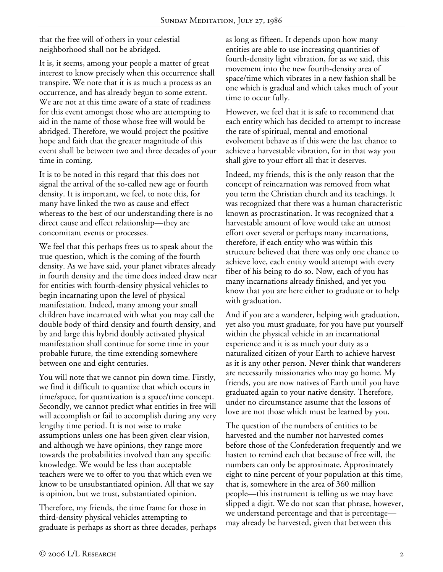that the free will of others in your celestial neighborhood shall not be abridged.

It is, it seems, among your people a matter of great interest to know precisely when this occurrence shall transpire. We note that it is as much a process as an occurrence, and has already begun to some extent. We are not at this time aware of a state of readiness for this event amongst those who are attempting to aid in the name of those whose free will would be abridged. Therefore, we would project the positive hope and faith that the greater magnitude of this event shall be between two and three decades of your time in coming.

It is to be noted in this regard that this does not signal the arrival of the so-called new age or fourth density. It is important, we feel, to note this, for many have linked the two as cause and effect whereas to the best of our understanding there is no direct cause and effect relationship—they are concomitant events or processes.

We feel that this perhaps frees us to speak about the true question, which is the coming of the fourth density. As we have said, your planet vibrates already in fourth density and the time does indeed draw near for entities with fourth-density physical vehicles to begin incarnating upon the level of physical manifestation. Indeed, many among your small children have incarnated with what you may call the double body of third density and fourth density, and by and large this hybrid doubly activated physical manifestation shall continue for some time in your probable future, the time extending somewhere between one and eight centuries.

You will note that we cannot pin down time. Firstly, we find it difficult to quantize that which occurs in time/space, for quantization is a space/time concept. Secondly, we cannot predict what entities in free will will accomplish or fail to accomplish during any very lengthy time period. It is not wise to make assumptions unless one has been given clear vision, and although we have opinions, they range more towards the probabilities involved than any specific knowledge. We would be less than acceptable teachers were we to offer to you that which even we know to be unsubstantiated opinion. All that we say is opinion, but we trust, substantiated opinion.

Therefore, my friends, the time frame for those in third-density physical vehicles attempting to graduate is perhaps as short as three decades, perhaps as long as fifteen. It depends upon how many entities are able to use increasing quantities of fourth-density light vibration, for as we said, this movement into the new fourth-density area of space/time which vibrates in a new fashion shall be one which is gradual and which takes much of your time to occur fully.

However, we feel that it is safe to recommend that each entity which has decided to attempt to increase the rate of spiritual, mental and emotional evolvement behave as if this were the last chance to achieve a harvestable vibration, for in that way you shall give to your effort all that it deserves.

Indeed, my friends, this is the only reason that the concept of reincarnation was removed from what you term the Christian church and its teachings. It was recognized that there was a human characteristic known as procrastination. It was recognized that a harvestable amount of love would take an utmost effort over several or perhaps many incarnations, therefore, if each entity who was within this structure believed that there was only one chance to achieve love, each entity would attempt with every fiber of his being to do so. Now, each of you has many incarnations already finished, and yet you know that you are here either to graduate or to help with graduation.

And if you are a wanderer, helping with graduation, yet also you must graduate, for you have put yourself within the physical vehicle in an incarnational experience and it is as much your duty as a naturalized citizen of your Earth to achieve harvest as it is any other person. Never think that wanderers are necessarily missionaries who may go home. My friends, you are now natives of Earth until you have graduated again to your native density. Therefore, under no circumstance assume that the lessons of love are not those which must be learned by you.

The question of the numbers of entities to be harvested and the number not harvested comes before those of the Confederation frequently and we hasten to remind each that because of free will, the numbers can only be approximate. Approximately eight to nine percent of your population at this time, that is, somewhere in the area of 360 million people—this instrument is telling us we may have slipped a digit. We do not scan that phrase, however, we understand percentage and that is percentage may already be harvested, given that between this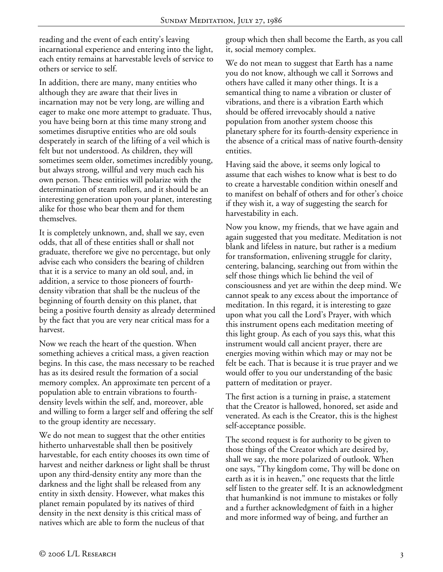reading and the event of each entity's leaving incarnational experience and entering into the light, each entity remains at harvestable levels of service to others or service to self.

In addition, there are many, many entities who although they are aware that their lives in incarnation may not be very long, are willing and eager to make one more attempt to graduate. Thus, you have being born at this time many strong and sometimes disruptive entities who are old souls desperately in search of the lifting of a veil which is felt but not understood. As children, they will sometimes seem older, sometimes incredibly young, but always strong, willful and very much each his own person. These entities will polarize with the determination of steam rollers, and it should be an interesting generation upon your planet, interesting alike for those who bear them and for them themselves.

It is completely unknown, and, shall we say, even odds, that all of these entities shall or shall not graduate, therefore we give no percentage, but only advise each who considers the bearing of children that it is a service to many an old soul, and, in addition, a service to those pioneers of fourthdensity vibration that shall be the nucleus of the beginning of fourth density on this planet, that being a positive fourth density as already determined by the fact that you are very near critical mass for a harvest.

Now we reach the heart of the question. When something achieves a critical mass, a given reaction begins. In this case, the mass necessary to be reached has as its desired result the formation of a social memory complex. An approximate ten percent of a population able to entrain vibrations to fourthdensity levels within the self, and, moreover, able and willing to form a larger self and offering the self to the group identity are necessary.

We do not mean to suggest that the other entities hitherto unharvestable shall then be positively harvestable, for each entity chooses its own time of harvest and neither darkness or light shall be thrust upon any third-density entity any more than the darkness and the light shall be released from any entity in sixth density. However, what makes this planet remain populated by its natives of third density in the next density is this critical mass of natives which are able to form the nucleus of that

group which then shall become the Earth, as you call it, social memory complex.

We do not mean to suggest that Earth has a name you do not know, although we call it Sorrows and others have called it many other things. It is a semantical thing to name a vibration or cluster of vibrations, and there is a vibration Earth which should be offered irrevocably should a native population from another system choose this planetary sphere for its fourth-density experience in the absence of a critical mass of native fourth-density entities.

Having said the above, it seems only logical to assume that each wishes to know what is best to do to create a harvestable condition within oneself and to manifest on behalf of others and for other's choice if they wish it, a way of suggesting the search for harvestability in each.

Now you know, my friends, that we have again and again suggested that you meditate. Meditation is not blank and lifeless in nature, but rather is a medium for transformation, enlivening struggle for clarity, centering, balancing, searching out from within the self those things which lie behind the veil of consciousness and yet are within the deep mind. We cannot speak to any excess about the importance of meditation. In this regard, it is interesting to gaze upon what you call the Lord's Prayer, with which this instrument opens each meditation meeting of this light group. As each of you says this, what this instrument would call ancient prayer, there are energies moving within which may or may not be felt be each. That is because it is true prayer and we would offer to you our understanding of the basic pattern of meditation or prayer.

The first action is a turning in praise, a statement that the Creator is hallowed, honored, set aside and venerated. As each is the Creator, this is the highest self-acceptance possible.

The second request is for authority to be given to those things of the Creator which are desired by, shall we say, the more polarized of outlook. When one says, "Thy kingdom come, Thy will be done on earth as it is in heaven," one requests that the little self listen to the greater self. It is an acknowledgment that humankind is not immune to mistakes or folly and a further acknowledgment of faith in a higher and more informed way of being, and further an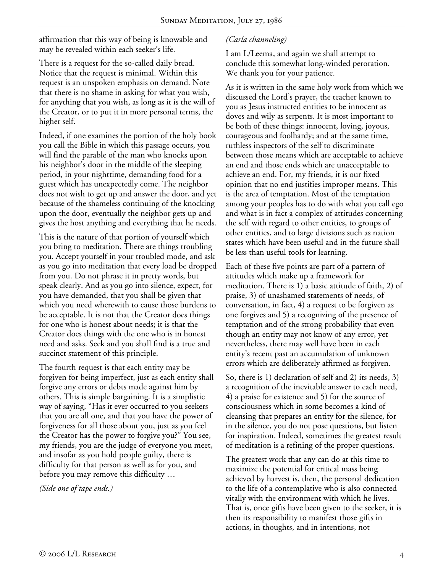affirmation that this way of being is knowable and may be revealed within each seeker's life.

There is a request for the so-called daily bread. Notice that the request is minimal. Within this request is an unspoken emphasis on demand. Note that there is no shame in asking for what you wish, for anything that you wish, as long as it is the will of the Creator, or to put it in more personal terms, the higher self.

Indeed, if one examines the portion of the holy book you call the Bible in which this passage occurs, you will find the parable of the man who knocks upon his neighbor's door in the middle of the sleeping period, in your nighttime, demanding food for a guest which has unexpectedly come. The neighbor does not wish to get up and answer the door, and yet because of the shameless continuing of the knocking upon the door, eventually the neighbor gets up and gives the host anything and everything that he needs.

This is the nature of that portion of yourself which you bring to meditation. There are things troubling you. Accept yourself in your troubled mode, and ask as you go into meditation that every load be dropped from you. Do not phrase it in pretty words, but speak clearly. And as you go into silence, expect, for you have demanded, that you shall be given that which you need wherewith to cause those burdens to be acceptable. It is not that the Creator does things for one who is honest about needs; it is that the Creator does things with the one who is in honest need and asks. Seek and you shall find is a true and succinct statement of this principle.

The fourth request is that each entity may be forgiven for being imperfect, just as each entity shall forgive any errors or debts made against him by others. This is simple bargaining. It is a simplistic way of saying, "Has it ever occurred to you seekers that you are all one, and that you have the power of forgiveness for all those about you, just as you feel the Creator has the power to forgive you?" You see, my friends, you are the judge of everyone you meet, and insofar as you hold people guilty, there is difficulty for that person as well as for you, and before you may remove this difficulty …

*(Side one of tape ends.)* 

## *(Carla channeling)*

I am L/Leema, and again we shall attempt to conclude this somewhat long-winded peroration. We thank you for your patience.

As it is written in the same holy work from which we discussed the Lord's prayer, the teacher known to you as Jesus instructed entities to be innocent as doves and wily as serpents. It is most important to be both of these things: innocent, loving, joyous, courageous and foolhardy; and at the same time, ruthless inspectors of the self to discriminate between those means which are acceptable to achieve an end and those ends which are unacceptable to achieve an end. For, my friends, it is our fixed opinion that no end justifies improper means. This is the area of temptation. Most of the temptation among your peoples has to do with what you call ego and what is in fact a complex of attitudes concerning the self with regard to other entities, to groups of other entities, and to large divisions such as nation states which have been useful and in the future shall be less than useful tools for learning.

Each of these five points are part of a pattern of attitudes which make up a framework for meditation. There is 1) a basic attitude of faith, 2) of praise, 3) of unashamed statements of needs, of conversation, in fact, 4) a request to be forgiven as one forgives and 5) a recognizing of the presence of temptation and of the strong probability that even though an entity may not know of any error, yet nevertheless, there may well have been in each entity's recent past an accumulation of unknown errors which are deliberately affirmed as forgiven.

So, there is 1) declaration of self and 2) its needs, 3) a recognition of the inevitable answer to each need, 4) a praise for existence and 5) for the source of consciousness which in some becomes a kind of cleansing that prepares an entity for the silence, for in the silence, you do not pose questions, but listen for inspiration. Indeed, sometimes the greatest result of meditation is a refining of the proper questions.

The greatest work that any can do at this time to maximize the potential for critical mass being achieved by harvest is, then, the personal dedication to the life of a contemplative who is also connected vitally with the environment with which he lives. That is, once gifts have been given to the seeker, it is then its responsibility to manifest those gifts in actions, in thoughts, and in intentions, not